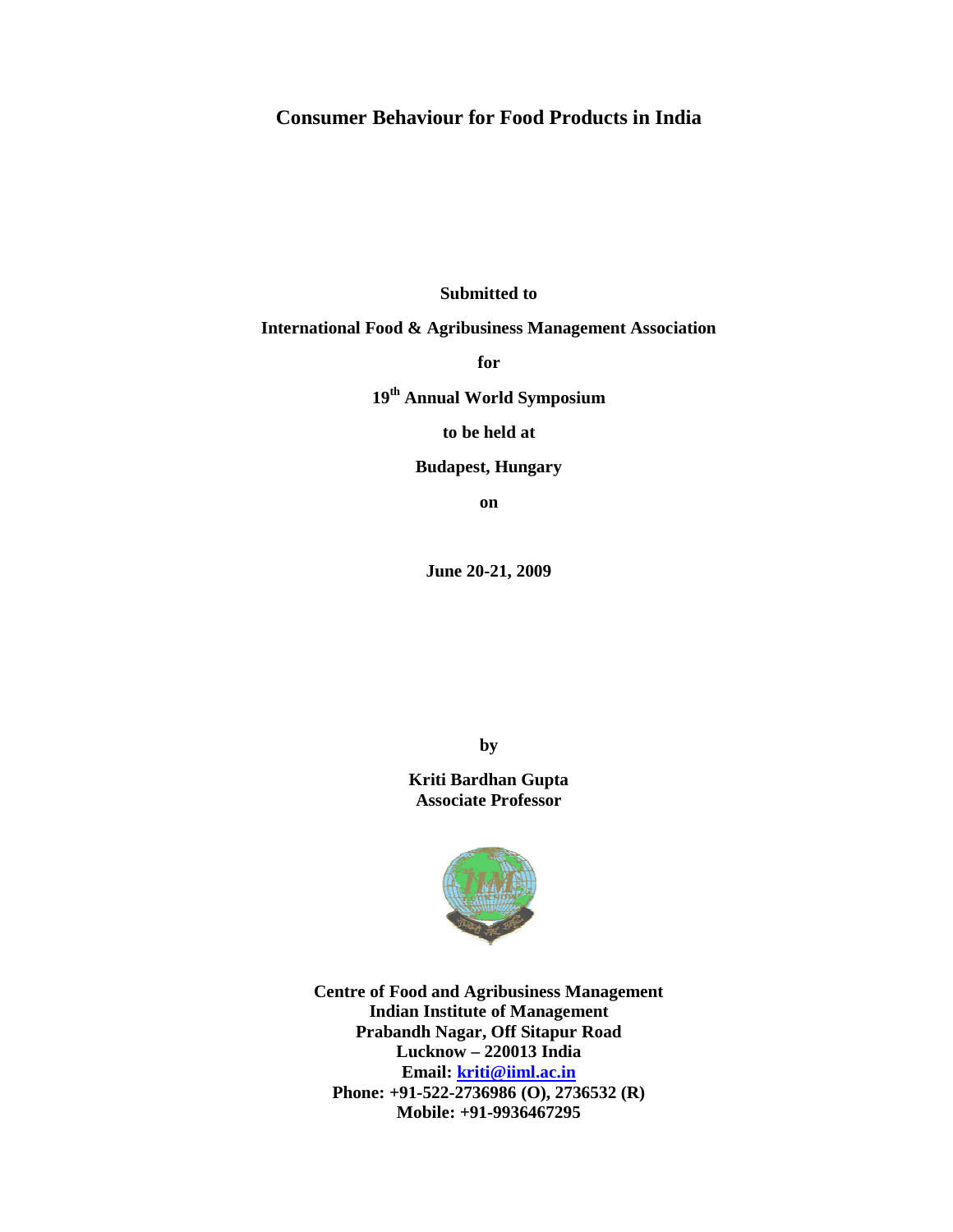# **Consumer Behaviour for Food Products in India**

**Submitted to** 

### **International Food & Agribusiness Management Association**

**for** 

**19th Annual World Symposium** 

**to be held at** 

**Budapest, Hungary** 

**on** 

**June 20-21, 2009** 

**by** 

**Kriti Bardhan Gupta Associate Professor** 



**Centre of Food and Agribusiness Management Indian Institute of Management Prabandh Nagar, Off Sitapur Road Lucknow – 220013 India Email: kriti@iiml.ac.in Phone: +91-522-2736986 (O), 2736532 (R) Mobile: +91-9936467295**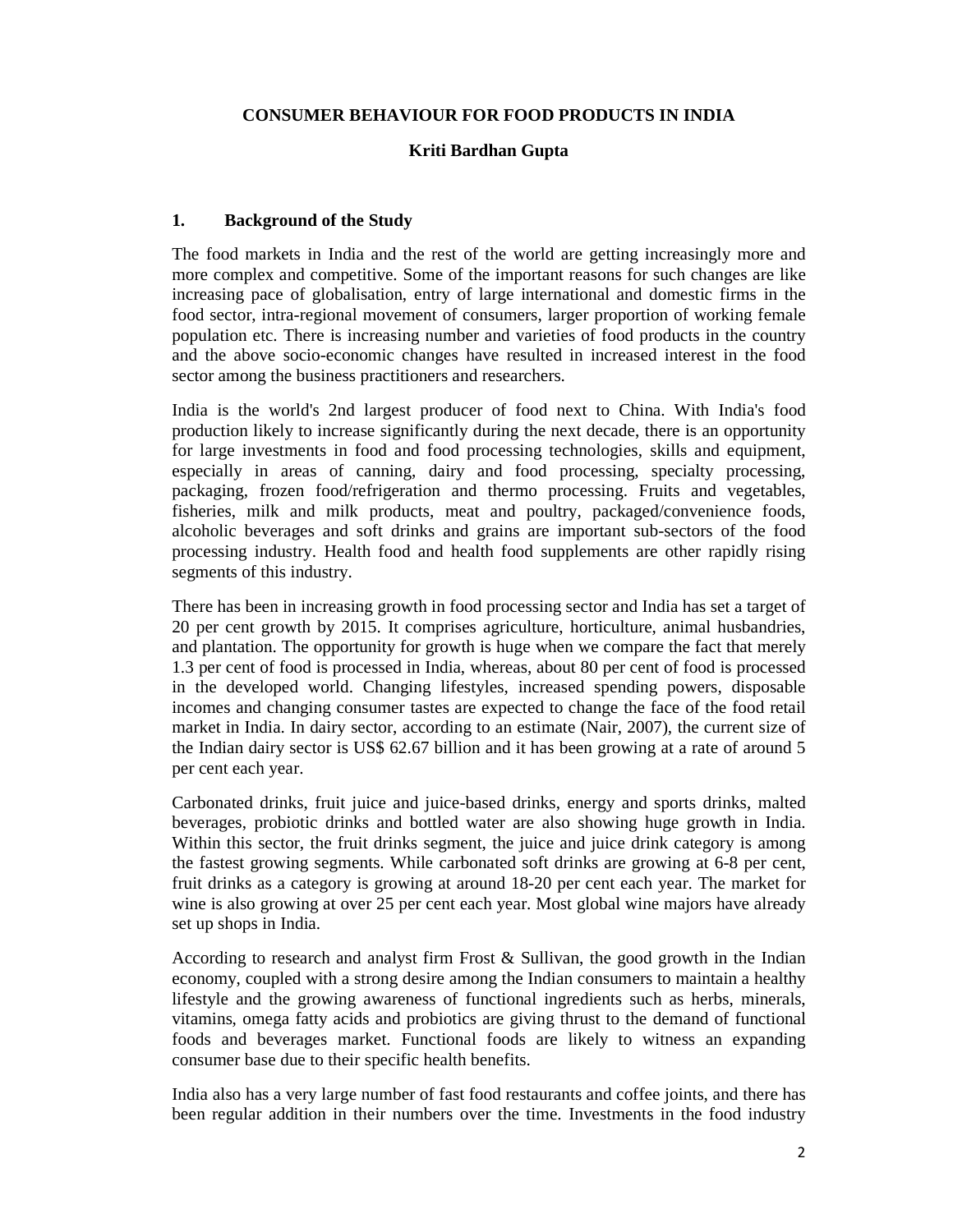## **CONSUMER BEHAVIOUR FOR FOOD PRODUCTS IN INDIA**

### **Kriti Bardhan Gupta**

### **1. Background of the Study**

The food markets in India and the rest of the world are getting increasingly more and more complex and competitive. Some of the important reasons for such changes are like increasing pace of globalisation, entry of large international and domestic firms in the food sector, intra-regional movement of consumers, larger proportion of working female population etc. There is increasing number and varieties of food products in the country and the above socio-economic changes have resulted in increased interest in the food sector among the business practitioners and researchers.

India is the world's 2nd largest producer of food next to China. With India's food production likely to increase significantly during the next decade, there is an opportunity for large investments in food and food processing technologies, skills and equipment, especially in areas of canning, dairy and food processing, specialty processing, packaging, frozen food/refrigeration and thermo processing. Fruits and vegetables, fisheries, milk and milk products, meat and poultry, packaged/convenience foods, alcoholic beverages and soft drinks and grains are important sub-sectors of the food processing industry. Health food and health food supplements are other rapidly rising segments of this industry.

There has been in increasing growth in food processing sector and India has set a target of 20 per cent growth by 2015. It comprises agriculture, horticulture, animal husbandries, and plantation. The opportunity for growth is huge when we compare the fact that merely 1.3 per cent of food is processed in India, whereas, about 80 per cent of food is processed in the developed world. Changing lifestyles, increased spending powers, disposable incomes and changing consumer tastes are expected to change the face of the food retail market in India. In dairy sector, according to an estimate (Nair, 2007), the current size of the Indian dairy sector is US\$ 62.67 billion and it has been growing at a rate of around 5 per cent each year.

Carbonated drinks, fruit juice and juice-based drinks, energy and sports drinks, malted beverages, probiotic drinks and bottled water are also showing huge growth in India. Within this sector, the fruit drinks segment, the juice and juice drink category is among the fastest growing segments. While carbonated soft drinks are growing at 6-8 per cent, fruit drinks as a category is growing at around 18-20 per cent each year. The market for wine is also growing at over 25 per cent each year. Most global wine majors have already set up shops in India.

According to research and analyst firm Frost & Sullivan, the good growth in the Indian economy, coupled with a strong desire among the Indian consumers to maintain a healthy lifestyle and the growing awareness of functional ingredients such as herbs, minerals, vitamins, omega fatty acids and probiotics are giving thrust to the demand of functional foods and beverages market. Functional foods are likely to witness an expanding consumer base due to their specific health benefits.

India also has a very large number of fast food restaurants and coffee joints, and there has been regular addition in their numbers over the time. Investments in the food industry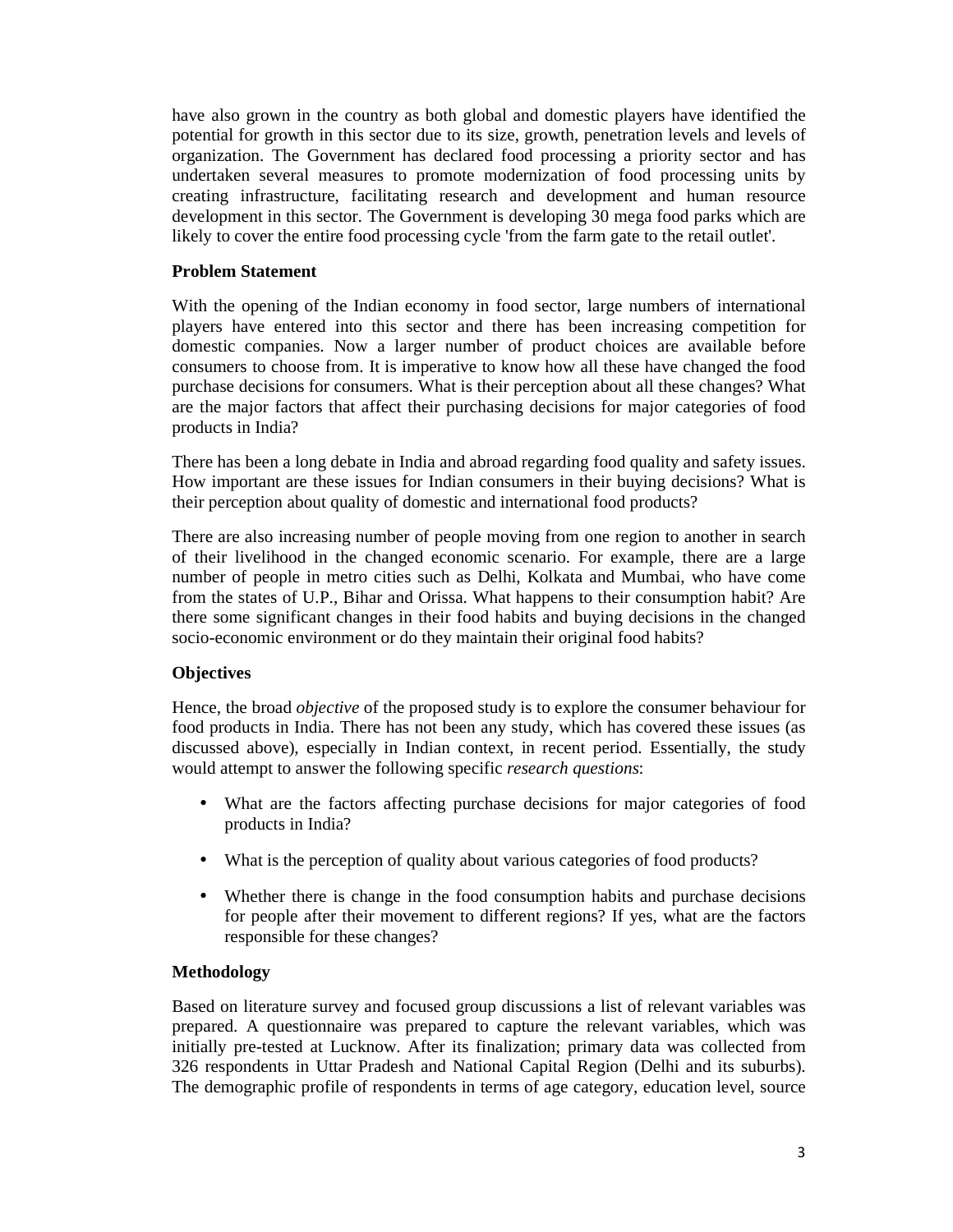have also grown in the country as both global and domestic players have identified the potential for growth in this sector due to its size, growth, penetration levels and levels of organization. The Government has declared food processing a priority sector and has undertaken several measures to promote modernization of food processing units by creating infrastructure, facilitating research and development and human resource development in this sector. The Government is developing 30 mega food parks which are likely to cover the entire food processing cycle 'from the farm gate to the retail outlet'.

### **Problem Statement**

With the opening of the Indian economy in food sector, large numbers of international players have entered into this sector and there has been increasing competition for domestic companies. Now a larger number of product choices are available before consumers to choose from. It is imperative to know how all these have changed the food purchase decisions for consumers. What is their perception about all these changes? What are the major factors that affect their purchasing decisions for major categories of food products in India?

There has been a long debate in India and abroad regarding food quality and safety issues. How important are these issues for Indian consumers in their buying decisions? What is their perception about quality of domestic and international food products?

There are also increasing number of people moving from one region to another in search of their livelihood in the changed economic scenario. For example, there are a large number of people in metro cities such as Delhi, Kolkata and Mumbai, who have come from the states of U.P., Bihar and Orissa. What happens to their consumption habit? Are there some significant changes in their food habits and buying decisions in the changed socio-economic environment or do they maintain their original food habits?

# **Objectives**

Hence, the broad *objective* of the proposed study is to explore the consumer behaviour for food products in India. There has not been any study, which has covered these issues (as discussed above), especially in Indian context, in recent period. Essentially, the study would attempt to answer the following specific *research questions*:

- What are the factors affecting purchase decisions for major categories of food products in India?
- What is the perception of quality about various categories of food products?
- Whether there is change in the food consumption habits and purchase decisions for people after their movement to different regions? If yes, what are the factors responsible for these changes?

### **Methodology**

Based on literature survey and focused group discussions a list of relevant variables was prepared. A questionnaire was prepared to capture the relevant variables, which was initially pre-tested at Lucknow. After its finalization; primary data was collected from 326 respondents in Uttar Pradesh and National Capital Region (Delhi and its suburbs). The demographic profile of respondents in terms of age category, education level, source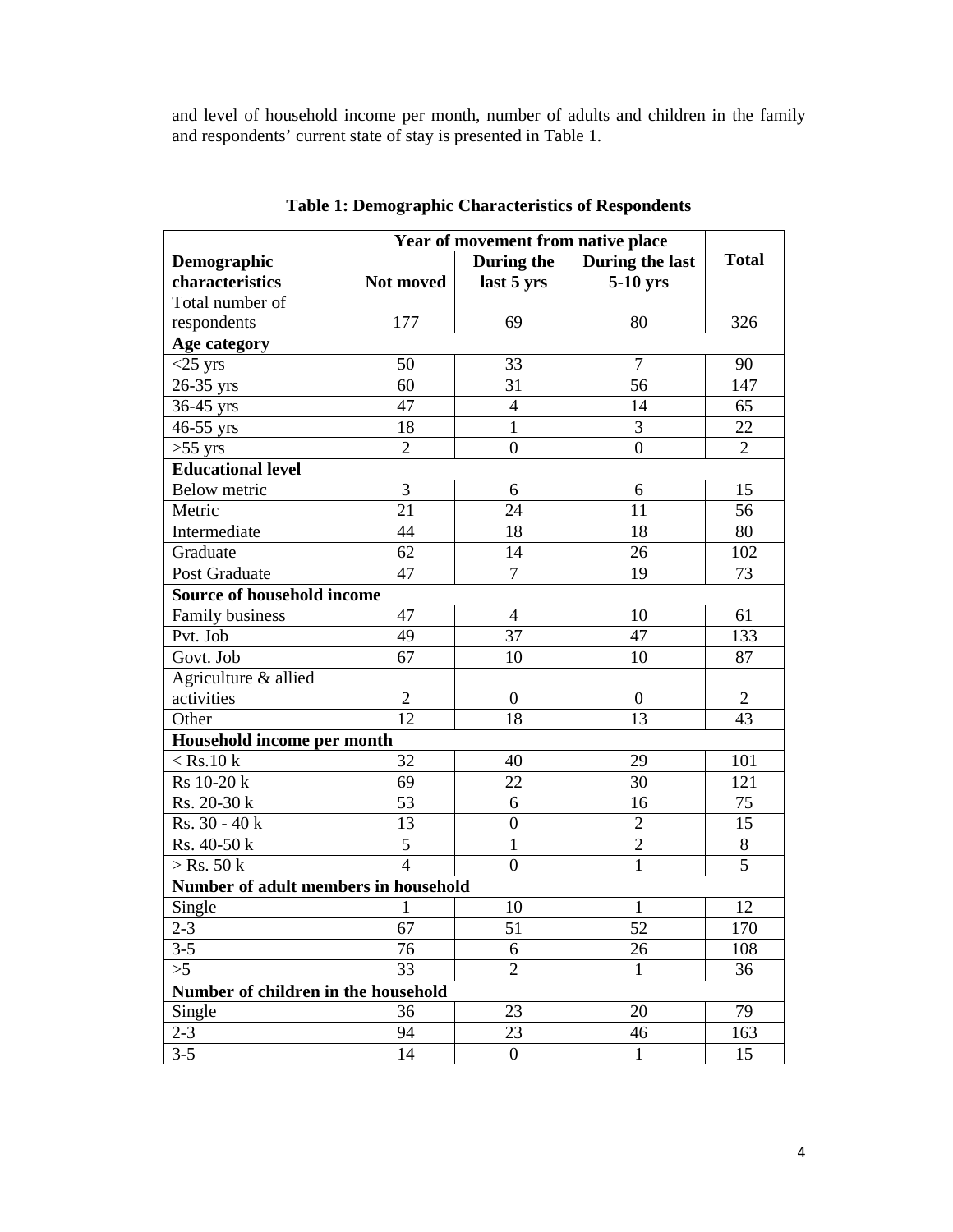and level of household income per month, number of adults and children in the family and respondents' current state of stay is presented in Table 1.

|                                      | Year of movement from native place |                  |                  |                |  |  |
|--------------------------------------|------------------------------------|------------------|------------------|----------------|--|--|
| Demographic                          |                                    | During the       | During the last  | <b>Total</b>   |  |  |
| characteristics                      | Not moved                          | last 5 yrs       | 5-10 yrs         |                |  |  |
| Total number of                      |                                    |                  |                  |                |  |  |
| respondents                          | 177                                | 69               | 80               | 326            |  |  |
| Age category                         |                                    |                  |                  |                |  |  |
| $<$ 25 yrs                           | 50                                 | 33               | 7                | 90             |  |  |
| 26-35 yrs                            | 60                                 | 31               | 56               | 147            |  |  |
| 36-45 yrs                            | 47                                 | $\overline{4}$   | 14               | 65             |  |  |
| 46-55 yrs                            | 18                                 | 1                | 3                | 22             |  |  |
| $>55$ yrs                            | $\overline{2}$                     | $\overline{0}$   | $\overline{0}$   | $\overline{2}$ |  |  |
| <b>Educational level</b>             |                                    |                  |                  |                |  |  |
| Below metric                         | 3                                  | 6                | 6                | 15             |  |  |
| Metric                               | $2\overline{1}$                    | 24               | 11               | 56             |  |  |
| Intermediate                         | 44                                 | 18               | 18               | 80             |  |  |
| Graduate                             | 62                                 | 14               | 26               | 102            |  |  |
| Post Graduate                        | 47                                 | 7                | 19               | 73             |  |  |
| Source of household income           |                                    |                  |                  |                |  |  |
| Family business                      | 47                                 | $\overline{4}$   | 10               | 61             |  |  |
| Pvt. Job                             | 49                                 | 37               | 47               | 133            |  |  |
| Govt. Job                            | 67                                 | 10               | 10               | 87             |  |  |
| Agriculture & allied                 |                                    |                  |                  |                |  |  |
| activities                           | $\overline{2}$                     | $\boldsymbol{0}$ | $\boldsymbol{0}$ | $\overline{2}$ |  |  |
| Other                                | 12                                 | 18               | 13               | 43             |  |  |
| Household income per month           |                                    |                  |                  |                |  |  |
| $<$ Rs.10 k                          | 32                                 | 40               | 29               | 101            |  |  |
| Rs 10-20 k                           | 69                                 | 22               | 30               | 121            |  |  |
| Rs. 20-30 k                          | 53                                 | 6                | 16               | 75             |  |  |
| $Rs. 30 - 40 k$                      | 13                                 | $\boldsymbol{0}$ | $\overline{2}$   | 15             |  |  |
| Rs. 40-50 k                          | $\overline{5}$                     | $\mathbf{1}$     | $\overline{2}$   | 8              |  |  |
| $>$ Rs. 50 k                         | $\overline{4}$                     | $\boldsymbol{0}$ | 1                | 5              |  |  |
| Number of adult members in household |                                    |                  |                  |                |  |  |
| Single                               | 1                                  | 10               | 1                | 12             |  |  |
| $2 - 3$                              | $\overline{67}$                    | 51               | $\overline{52}$  | 170            |  |  |
| $3 - 5$                              | 76                                 | 6                | 26               | 108            |  |  |
| >5                                   | 33                                 | $\overline{2}$   | $\mathbf{1}$     | 36             |  |  |
| Number of children in the household  |                                    |                  |                  |                |  |  |
| Single                               | 36                                 | 23               | 20               | 79             |  |  |
| $2 - 3$                              | 94                                 | 23               | 46               | 163            |  |  |
| $3 - 5$                              | 14                                 | $\boldsymbol{0}$ | $\mathbf{1}$     | 15             |  |  |

**Table 1: Demographic Characteristics of Respondents**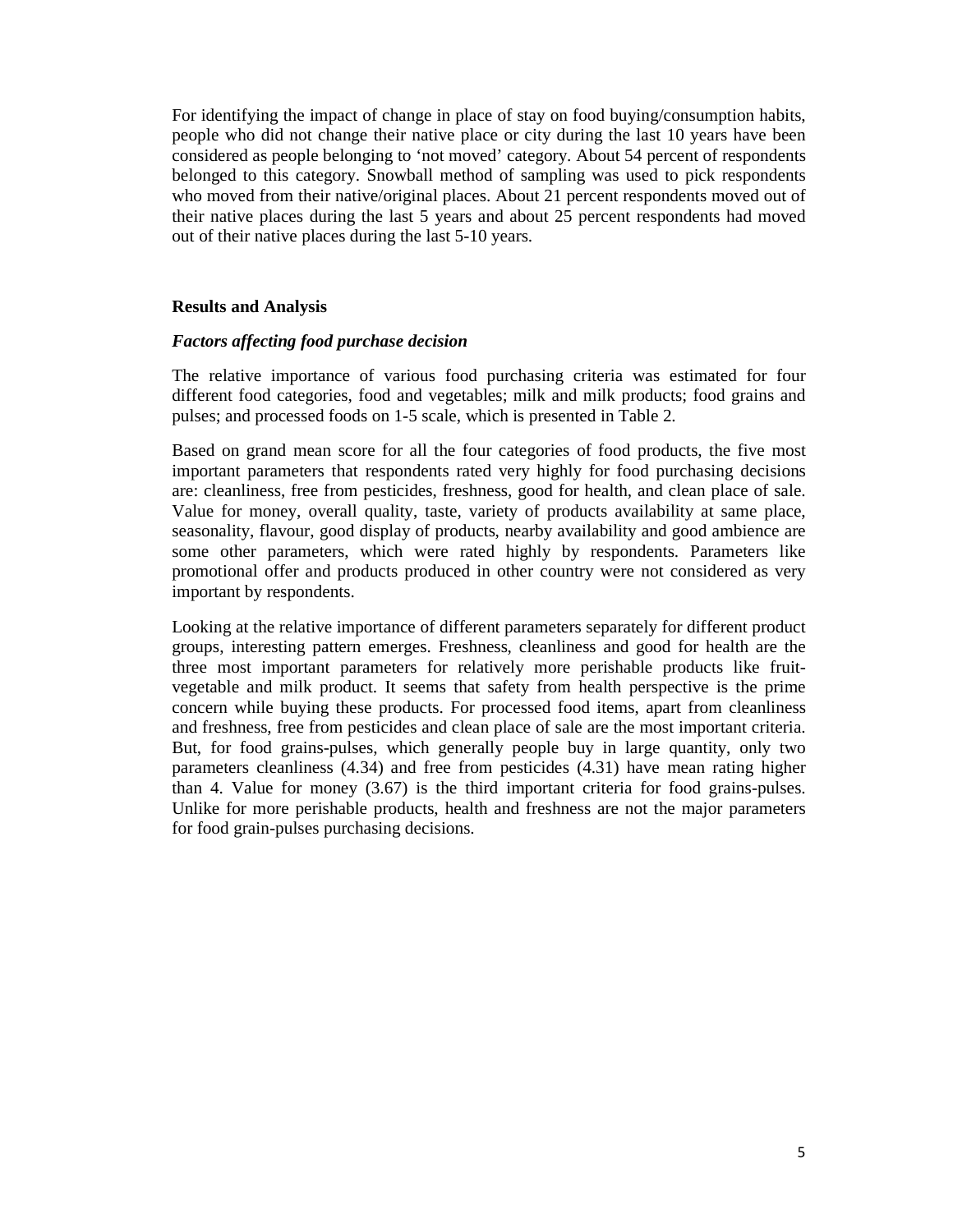For identifying the impact of change in place of stay on food buying/consumption habits, people who did not change their native place or city during the last 10 years have been considered as people belonging to 'not moved' category. About 54 percent of respondents belonged to this category. Snowball method of sampling was used to pick respondents who moved from their native/original places. About 21 percent respondents moved out of their native places during the last 5 years and about 25 percent respondents had moved out of their native places during the last 5-10 years.

#### **Results and Analysis**

#### *Factors affecting food purchase decision*

The relative importance of various food purchasing criteria was estimated for four different food categories, food and vegetables; milk and milk products; food grains and pulses; and processed foods on 1-5 scale, which is presented in Table 2.

Based on grand mean score for all the four categories of food products, the five most important parameters that respondents rated very highly for food purchasing decisions are: cleanliness, free from pesticides, freshness, good for health, and clean place of sale. Value for money, overall quality, taste, variety of products availability at same place, seasonality, flavour, good display of products, nearby availability and good ambience are some other parameters, which were rated highly by respondents. Parameters like promotional offer and products produced in other country were not considered as very important by respondents.

Looking at the relative importance of different parameters separately for different product groups, interesting pattern emerges. Freshness, cleanliness and good for health are the three most important parameters for relatively more perishable products like fruitvegetable and milk product. It seems that safety from health perspective is the prime concern while buying these products. For processed food items, apart from cleanliness and freshness, free from pesticides and clean place of sale are the most important criteria. But, for food grains-pulses, which generally people buy in large quantity, only two parameters cleanliness (4.34) and free from pesticides (4.31) have mean rating higher than 4. Value for money (3.67) is the third important criteria for food grains-pulses. Unlike for more perishable products, health and freshness are not the major parameters for food grain-pulses purchasing decisions.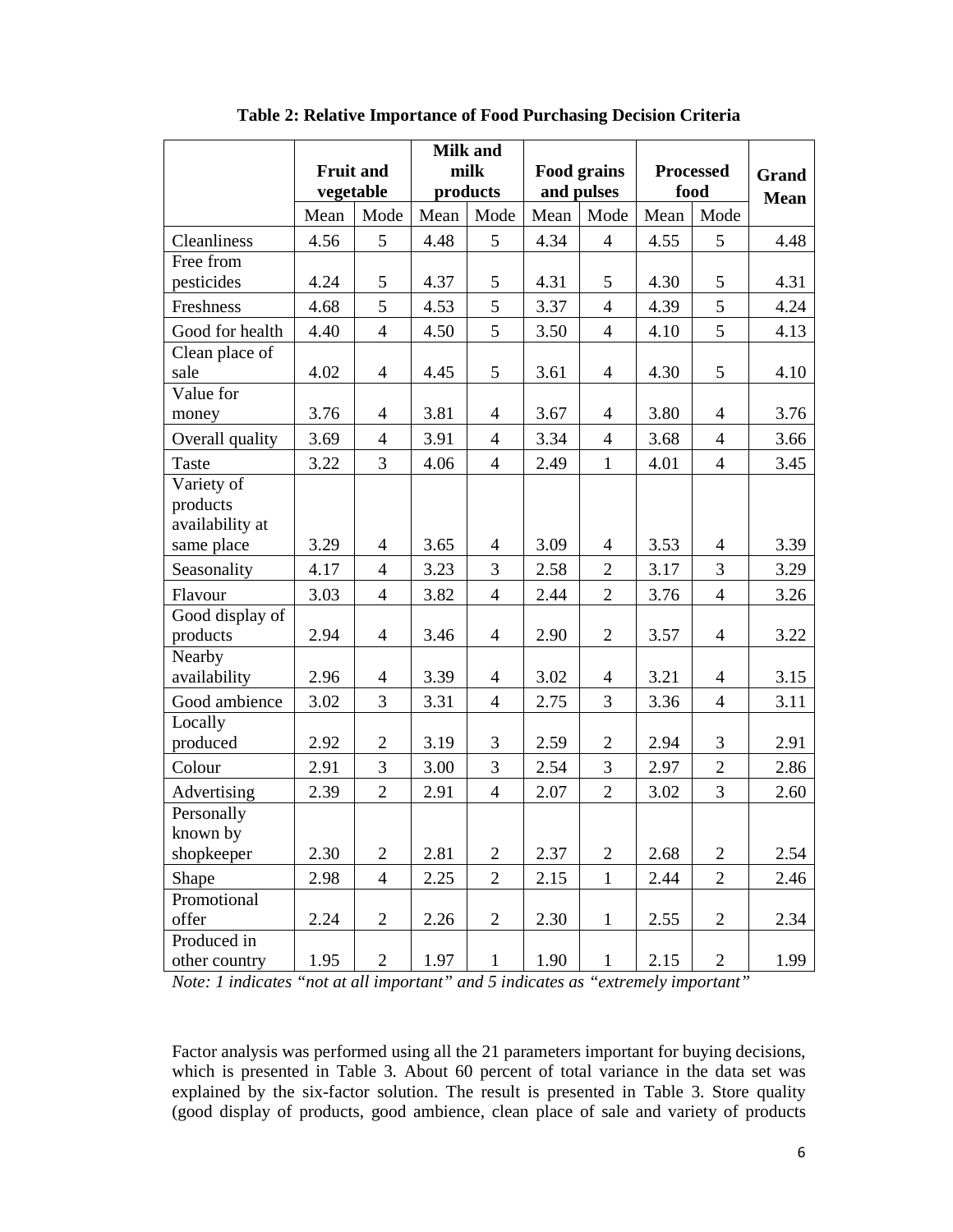|                                           |                  |                |      | <b>Milk and</b> |            |                    |      |                  |             |
|-------------------------------------------|------------------|----------------|------|-----------------|------------|--------------------|------|------------------|-------------|
|                                           | <b>Fruit and</b> |                |      | milk            |            | <b>Food grains</b> |      | <b>Processed</b> | Grand       |
|                                           | vegetable        |                |      | products        | and pulses |                    |      | food             | <b>Mean</b> |
|                                           | Mean             | Mode           | Mean | Mode            | Mean       | Mode               | Mean | Mode             |             |
| Cleanliness                               | 4.56             | 5              | 4.48 | 5               | 4.34       | $\overline{4}$     | 4.55 | 5                | 4.48        |
| Free from                                 |                  |                |      |                 |            |                    |      |                  |             |
| pesticides                                | 4.24             | 5              | 4.37 | 5               | 4.31       | 5                  | 4.30 | 5                | 4.31        |
| Freshness                                 | 4.68             | 5              | 4.53 | 5               | 3.37       | $\overline{4}$     | 4.39 | 5                | 4.24        |
| Good for health                           | 4.40             | $\overline{4}$ | 4.50 | 5               | 3.50       | $\overline{4}$     | 4.10 | 5                | 4.13        |
| Clean place of                            |                  |                |      |                 |            |                    |      |                  |             |
| sale                                      | 4.02             | $\overline{4}$ | 4.45 | 5               | 3.61       | $\overline{4}$     | 4.30 | 5                | 4.10        |
| Value for                                 |                  |                |      |                 |            |                    |      |                  |             |
| money                                     | 3.76             | $\overline{4}$ | 3.81 | $\overline{4}$  | 3.67       | $\overline{4}$     | 3.80 | $\overline{4}$   | 3.76        |
| Overall quality                           | 3.69             | $\overline{4}$ | 3.91 | $\overline{4}$  | 3.34       | $\overline{4}$     | 3.68 | $\overline{4}$   | 3.66        |
| Taste                                     | 3.22             | 3              | 4.06 | $\overline{4}$  | 2.49       | $\mathbf{1}$       | 4.01 | $\overline{4}$   | 3.45        |
| Variety of<br>products<br>availability at |                  |                |      |                 |            |                    |      |                  |             |
| same place                                | 3.29             | $\overline{4}$ | 3.65 | $\overline{4}$  | 3.09       | $\overline{4}$     | 3.53 | $\overline{4}$   | 3.39        |
| Seasonality                               | 4.17             | $\overline{4}$ | 3.23 | 3               | 2.58       | $\overline{2}$     | 3.17 | $\overline{3}$   | 3.29        |
| Flavour                                   | 3.03             | $\overline{4}$ | 3.82 | $\overline{4}$  | 2.44       | $\overline{2}$     | 3.76 | $\overline{4}$   | 3.26        |
| Good display of<br>products               | 2.94             | $\overline{4}$ | 3.46 | $\overline{4}$  | 2.90       | $\overline{2}$     | 3.57 | $\overline{4}$   | 3.22        |
| Nearby<br>availability                    | 2.96             | $\overline{4}$ | 3.39 | $\overline{4}$  | 3.02       | $\overline{4}$     | 3.21 | $\overline{4}$   | 3.15        |
| Good ambience                             | 3.02             | 3              | 3.31 | $\overline{4}$  | 2.75       | $\overline{3}$     | 3.36 | $\overline{4}$   | 3.11        |
| Locally<br>produced                       | 2.92             | $\overline{2}$ | 3.19 | 3               | 2.59       | $\overline{2}$     | 2.94 | 3                | 2.91        |
| Colour                                    | 2.91             | 3              | 3.00 | 3               | 2.54       | 3                  | 2.97 | $\overline{2}$   | 2.86        |
| Advertising                               | 2.39             | $\overline{2}$ | 2.91 | $\overline{4}$  | 2.07       | $\overline{2}$     | 3.02 | 3                | 2.60        |
| Personally<br>known by                    |                  |                |      |                 |            |                    |      |                  |             |
| shopkeeper                                | 2.30             | $\overline{2}$ | 2.81 | $\overline{2}$  | 2.37       | $\overline{2}$     | 2.68 | $\overline{2}$   | 2.54        |
| Shape                                     | 2.98             | $\overline{4}$ | 2.25 | $\overline{2}$  | 2.15       | $\mathbf{1}$       | 2.44 | $\overline{2}$   | 2.46        |
| Promotional<br>offer                      | 2.24             | $\overline{2}$ | 2.26 | $\overline{2}$  | 2.30       | $\mathbf{1}$       | 2.55 | $\overline{2}$   | 2.34        |
| Produced in<br>other country              | 1.95             | $\overline{2}$ | 1.97 | $\mathbf{1}$    | 1.90       | $\mathbf{1}$       | 2.15 | $\mathbf{2}$     | 1.99        |

**Table 2: Relative Importance of Food Purchasing Decision Criteria** 

*Note: 1 indicates "not at all important" and 5 indicates as "extremely important"* 

Factor analysis was performed using all the 21 parameters important for buying decisions, which is presented in Table 3. About 60 percent of total variance in the data set was explained by the six-factor solution. The result is presented in Table 3. Store quality (good display of products, good ambience, clean place of sale and variety of products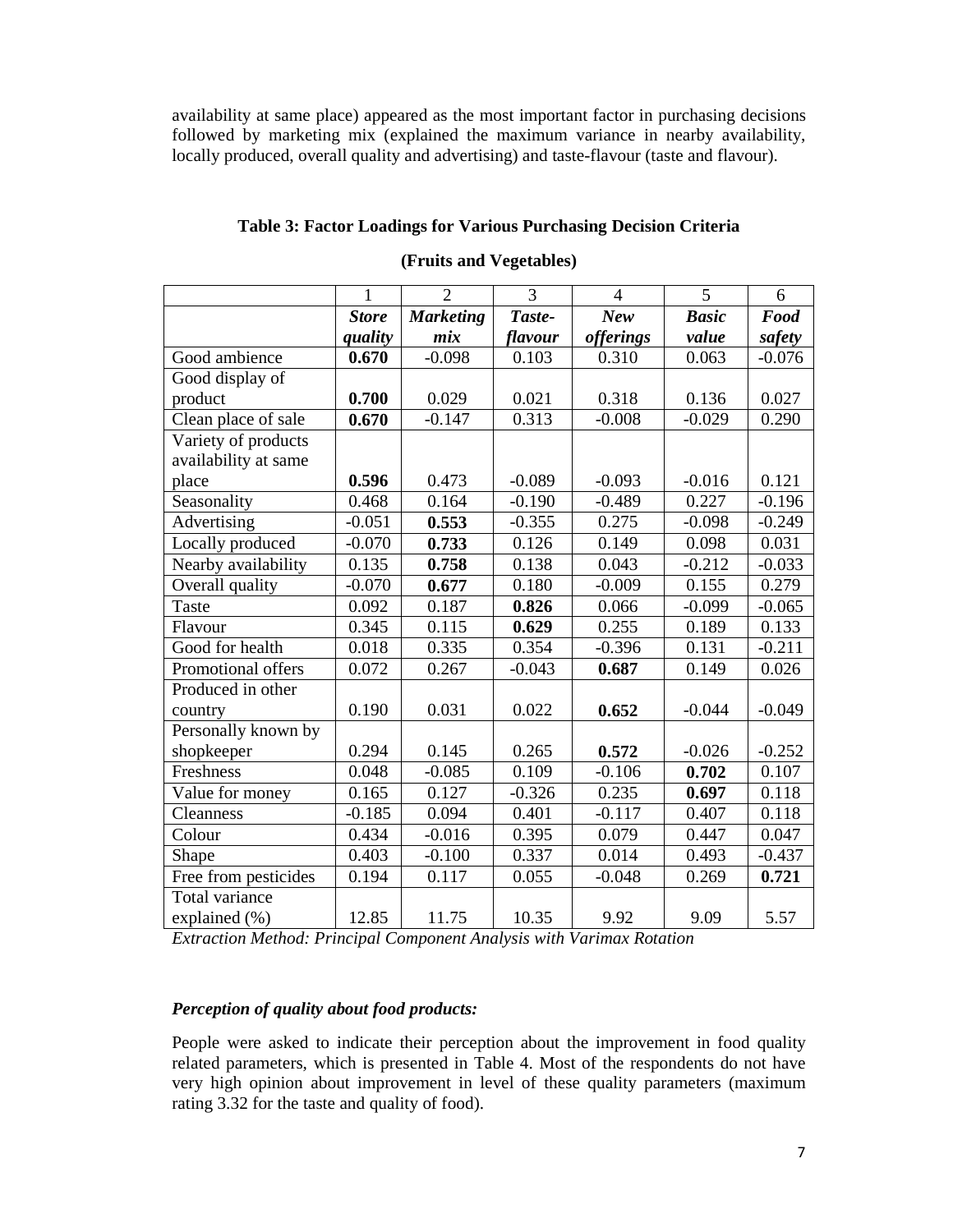availability at same place) appeared as the most important factor in purchasing decisions followed by marketing mix (explained the maximum variance in nearby availability, locally produced, overall quality and advertising) and taste-flavour (taste and flavour).

# **Table 3: Factor Loadings for Various Purchasing Decision Criteria**

|                      | 1            | $\overline{2}$   | 3        | 4                | 5            | 6        |
|----------------------|--------------|------------------|----------|------------------|--------------|----------|
|                      | <b>Store</b> | <b>Marketing</b> | Taste-   | <b>New</b>       | <b>Basic</b> | Food     |
|                      | quality      | mix              | flavour  | <i>offerings</i> | value        | safety   |
| Good ambience        | 0.670        | $-0.098$         | 0.103    | 0.310            | 0.063        | $-0.076$ |
| Good display of      |              |                  |          |                  |              |          |
| product              | 0.700        | 0.029            | 0.021    | 0.318            | 0.136        | 0.027    |
| Clean place of sale  | 0.670        | $-0.147$         | 0.313    | $-0.008$         | $-0.029$     | 0.290    |
| Variety of products  |              |                  |          |                  |              |          |
| availability at same |              |                  |          |                  |              |          |
| place                | 0.596        | 0.473            | $-0.089$ | $-0.093$         | $-0.016$     | 0.121    |
| Seasonality          | 0.468        | 0.164            | $-0.190$ | $-0.489$         | 0.227        | $-0.196$ |
| Advertising          | $-0.051$     | 0.553            | $-0.355$ | 0.275            | $-0.098$     | $-0.249$ |
| Locally produced     | $-0.070$     | 0.733            | 0.126    | 0.149            | 0.098        | 0.031    |
| Nearby availability  | 0.135        | 0.758            | 0.138    | 0.043            | $-0.212$     | $-0.033$ |
| Overall quality      | $-0.070$     | 0.677            | 0.180    | $-0.009$         | 0.155        | 0.279    |
| <b>Taste</b>         | 0.092        | 0.187            | 0.826    | 0.066            | $-0.099$     | $-0.065$ |
| Flavour              | 0.345        | 0.115            | 0.629    | 0.255            | 0.189        | 0.133    |
| Good for health      | 0.018        | 0.335            | 0.354    | $-0.396$         | 0.131        | $-0.211$ |
| Promotional offers   | 0.072        | 0.267            | $-0.043$ | 0.687            | 0.149        | 0.026    |
| Produced in other    |              |                  |          |                  |              |          |
| country              | 0.190        | 0.031            | 0.022    | 0.652            | $-0.044$     | $-0.049$ |
| Personally known by  |              |                  |          |                  |              |          |
| shopkeeper           | 0.294        | 0.145            | 0.265    | 0.572            | $-0.026$     | $-0.252$ |
| Freshness            | 0.048        | $-0.085$         | 0.109    | $-0.106$         | 0.702        | 0.107    |
| Value for money      | 0.165        | 0.127            | $-0.326$ | 0.235            | 0.697        | 0.118    |
| Cleanness            | $-0.185$     | 0.094            | 0.401    | $-0.117$         | 0.407        | 0.118    |
| Colour               | 0.434        | $-0.016$         | 0.395    | 0.079            | 0.447        | 0.047    |
| Shape                | 0.403        | $-0.100$         | 0.337    | 0.014            | 0.493        | $-0.437$ |
| Free from pesticides | 0.194        | 0.117            | 0.055    | $-0.048$         | 0.269        | 0.721    |
| Total variance       |              |                  |          |                  |              |          |
| explained (%)        | 12.85        | 11.75            | 10.35    | 9.92             | 9.09         | 5.57     |

### **(Fruits and Vegetables)**

*Extraction Method: Principal Component Analysis with Varimax Rotation* 

## *Perception of quality about food products:*

People were asked to indicate their perception about the improvement in food quality related parameters, which is presented in Table 4. Most of the respondents do not have very high opinion about improvement in level of these quality parameters (maximum rating 3.32 for the taste and quality of food).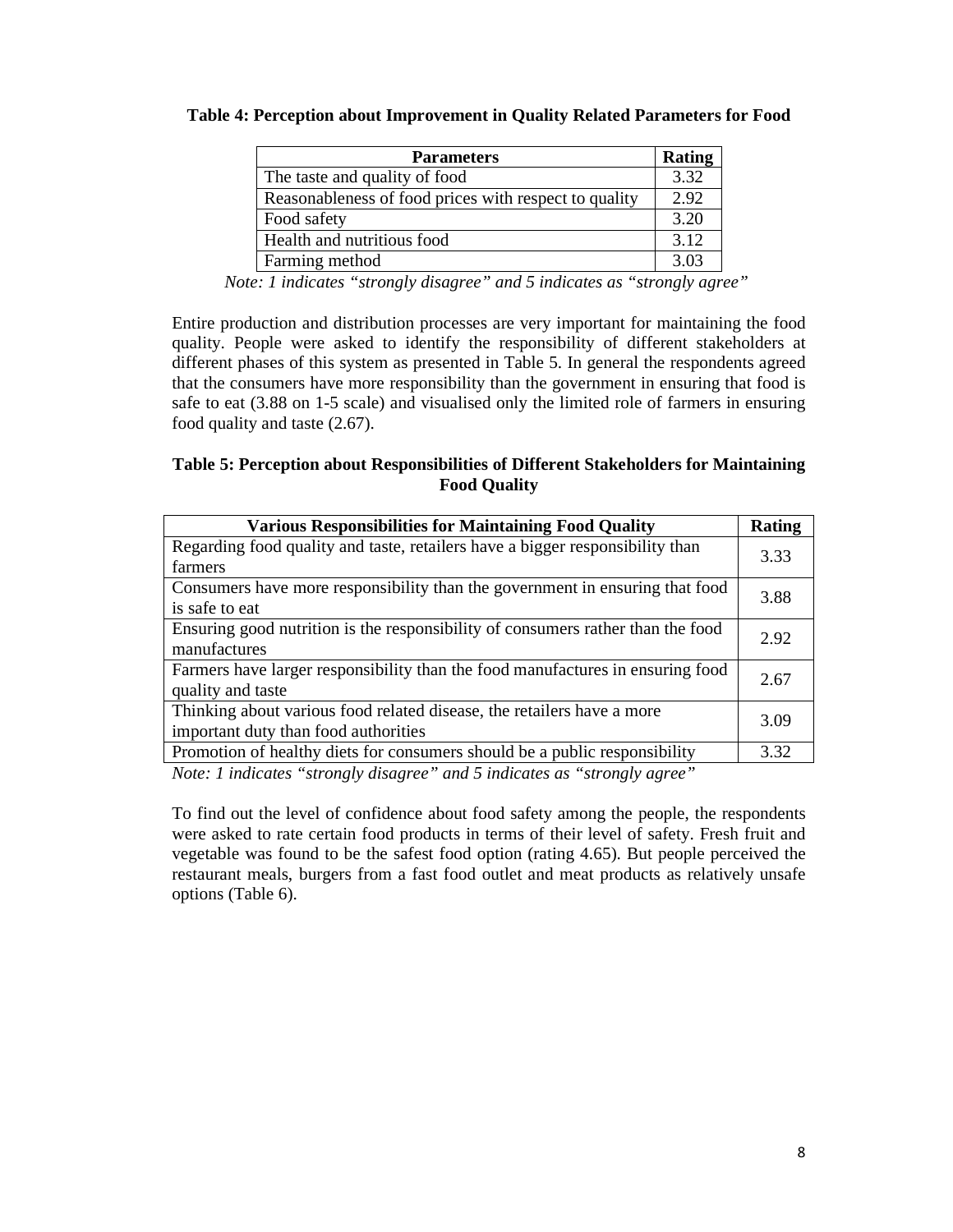### **Table 4: Perception about Improvement in Quality Related Parameters for Food**

| <b>Parameters</b>                                     | Rating |
|-------------------------------------------------------|--------|
| The taste and quality of food                         | 3.32   |
| Reasonableness of food prices with respect to quality | 2.92   |
| Food safety                                           | 3.20   |
| Health and nutritious food                            | 3.12   |
| Farming method                                        | 3.03   |

*Note: 1 indicates "strongly disagree" and 5 indicates as "strongly agree"* 

Entire production and distribution processes are very important for maintaining the food quality. People were asked to identify the responsibility of different stakeholders at different phases of this system as presented in Table 5. In general the respondents agreed that the consumers have more responsibility than the government in ensuring that food is safe to eat (3.88 on 1-5 scale) and visualised only the limited role of farmers in ensuring food quality and taste (2.67).

## **Table 5: Perception about Responsibilities of Different Stakeholders for Maintaining Food Quality**

| <b>Various Responsibilities for Maintaining Food Quality</b>                                                                                                                                                                                                                                                | <b>Rating</b> |
|-------------------------------------------------------------------------------------------------------------------------------------------------------------------------------------------------------------------------------------------------------------------------------------------------------------|---------------|
| Regarding food quality and taste, retailers have a bigger responsibility than                                                                                                                                                                                                                               | 3.33          |
| farmers                                                                                                                                                                                                                                                                                                     |               |
| Consumers have more responsibility than the government in ensuring that food                                                                                                                                                                                                                                | 3.88          |
| is safe to eat                                                                                                                                                                                                                                                                                              |               |
| Ensuring good nutrition is the responsibility of consumers rather than the food                                                                                                                                                                                                                             | 2.92          |
| manufactures                                                                                                                                                                                                                                                                                                |               |
| Farmers have larger responsibility than the food manufactures in ensuring food                                                                                                                                                                                                                              | 2.67          |
| quality and taste                                                                                                                                                                                                                                                                                           |               |
| Thinking about various food related disease, the retailers have a more                                                                                                                                                                                                                                      | 3.09          |
| important duty than food authorities                                                                                                                                                                                                                                                                        |               |
| Promotion of healthy diets for consumers should be a public responsibility                                                                                                                                                                                                                                  | 3.32          |
| $\mathbf{M}$ , $\mathbf{I}$ , $\mathbf{M}$ , $\mathbf{M}$ , $\mathbf{M}$ , $\mathbf{M}$ , $\mathbf{M}$ , $\mathbf{M}$ , $\mathbf{M}$ , $\mathbf{M}$ , $\mathbf{M}$ , $\mathbf{M}$ , $\mathbf{M}$ , $\mathbf{M}$ , $\mathbf{M}$ , $\mathbf{M}$ , $\mathbf{M}$ , $\mathbf{M}$ , $\mathbf{M}$ , $\mathbf{M}$ , |               |

*Note: 1 indicates "strongly disagree" and 5 indicates as "strongly agree"* 

To find out the level of confidence about food safety among the people, the respondents were asked to rate certain food products in terms of their level of safety. Fresh fruit and vegetable was found to be the safest food option (rating 4.65). But people perceived the restaurant meals, burgers from a fast food outlet and meat products as relatively unsafe options (Table 6).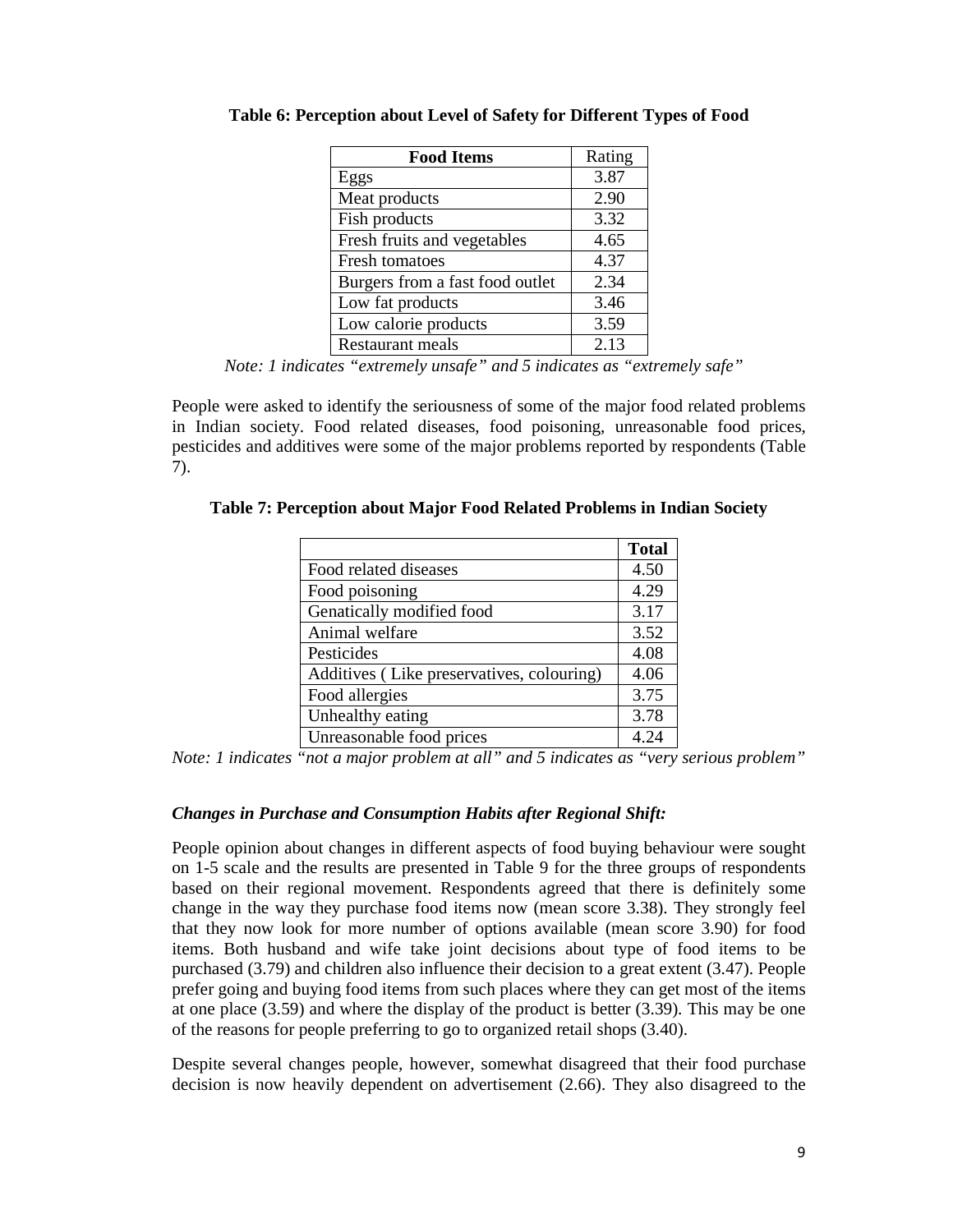| <b>Food Items</b>               | Rating |
|---------------------------------|--------|
| Eggs                            | 3.87   |
| Meat products                   | 2.90   |
| Fish products                   | 3.32   |
| Fresh fruits and vegetables     | 4.65   |
| Fresh tomatoes                  | 4.37   |
| Burgers from a fast food outlet | 2.34   |
| Low fat products                | 3.46   |
| Low calorie products            | 3.59   |
| Restaurant meals                | 2.13   |

**Table 6: Perception about Level of Safety for Different Types of Food** 

*Note: 1 indicates "extremely unsafe" and 5 indicates as "extremely safe"* 

People were asked to identify the seriousness of some of the major food related problems in Indian society. Food related diseases, food poisoning, unreasonable food prices, pesticides and additives were some of the major problems reported by respondents (Table 7).

|                                           | <b>Total</b> |
|-------------------------------------------|--------------|
| Food related diseases                     | 4.50         |
| Food poisoning                            | 4.29         |
| Genatically modified food                 | 3.17         |
| Animal welfare                            | 3.52         |
| Pesticides                                | 4.08         |
| Additives (Like preservatives, colouring) | 4.06         |
| Food allergies                            | 3.75         |
| Unhealthy eating                          | 3.78         |
| Unreasonable food prices                  | 4.24         |

|  |  | Table 7: Perception about Major Food Related Problems in Indian Society |  |
|--|--|-------------------------------------------------------------------------|--|
|  |  |                                                                         |  |

*Note: 1 indicates "not a major problem at all" and 5 indicates as "very serious problem"* 

### *Changes in Purchase and Consumption Habits after Regional Shift:*

People opinion about changes in different aspects of food buying behaviour were sought on 1-5 scale and the results are presented in Table 9 for the three groups of respondents based on their regional movement. Respondents agreed that there is definitely some change in the way they purchase food items now (mean score 3.38). They strongly feel that they now look for more number of options available (mean score 3.90) for food items. Both husband and wife take joint decisions about type of food items to be purchased (3.79) and children also influence their decision to a great extent (3.47). People prefer going and buying food items from such places where they can get most of the items at one place (3.59) and where the display of the product is better (3.39). This may be one of the reasons for people preferring to go to organized retail shops (3.40).

Despite several changes people, however, somewhat disagreed that their food purchase decision is now heavily dependent on advertisement (2.66). They also disagreed to the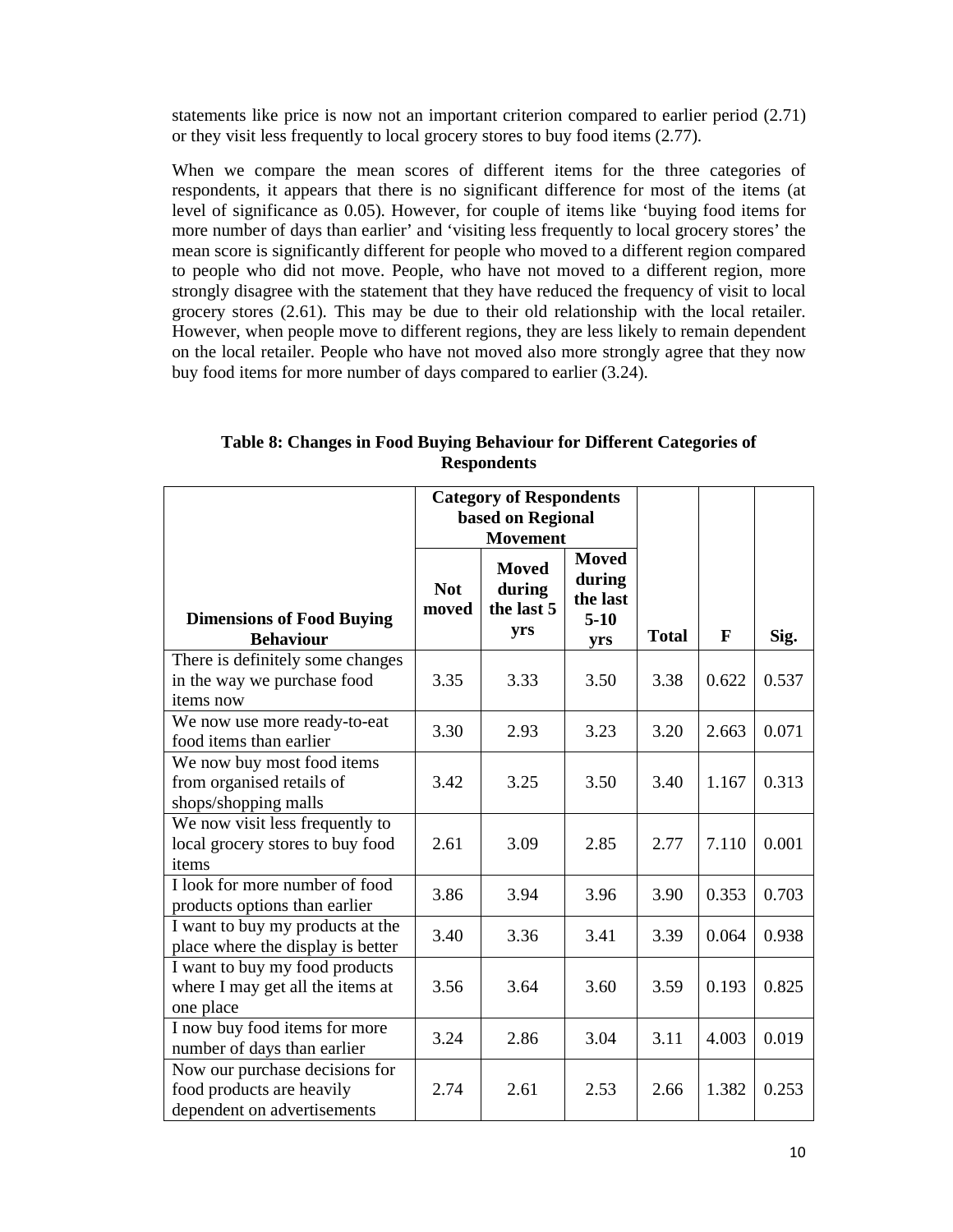statements like price is now not an important criterion compared to earlier period (2.71) or they visit less frequently to local grocery stores to buy food items (2.77).

When we compare the mean scores of different items for the three categories of respondents, it appears that there is no significant difference for most of the items (at level of significance as 0.05). However, for couple of items like 'buying food items for more number of days than earlier' and 'visiting less frequently to local grocery stores' the mean score is significantly different for people who moved to a different region compared to people who did not move. People, who have not moved to a different region, more strongly disagree with the statement that they have reduced the frequency of visit to local grocery stores (2.61). This may be due to their old relationship with the local retailer. However, when people move to different regions, they are less likely to remain dependent on the local retailer. People who have not moved also more strongly agree that they now buy food items for more number of days compared to earlier (3.24).

|                                                                                            | <b>Category of Respondents</b><br>based on Regional<br><b>Movement</b> |                                             |                                                     |              |       |       |
|--------------------------------------------------------------------------------------------|------------------------------------------------------------------------|---------------------------------------------|-----------------------------------------------------|--------------|-------|-------|
| <b>Dimensions of Food Buying</b><br><b>Behaviour</b>                                       | <b>Not</b><br>moved                                                    | <b>Moved</b><br>during<br>the last 5<br>yrs | <b>Moved</b><br>during<br>the last<br>$5-10$<br>yrs | <b>Total</b> | F     | Sig.  |
| There is definitely some changes<br>in the way we purchase food<br>items now               | 3.35                                                                   | 3.33                                        | 3.50                                                | 3.38         | 0.622 | 0.537 |
| We now use more ready-to-eat<br>food items than earlier                                    | 3.30                                                                   | 2.93                                        | 3.23                                                | 3.20         | 2.663 | 0.071 |
| We now buy most food items<br>from organised retails of<br>shops/shopping malls            | 3.42                                                                   | 3.25                                        | 3.50                                                | 3.40         | 1.167 | 0.313 |
| We now visit less frequently to<br>local grocery stores to buy food<br>items               | 2.61                                                                   | 3.09                                        | 2.85                                                | 2.77         | 7.110 | 0.001 |
| I look for more number of food<br>products options than earlier                            | 3.86                                                                   | 3.94                                        | 3.96                                                | 3.90         | 0.353 | 0.703 |
| I want to buy my products at the<br>place where the display is better                      | 3.40                                                                   | 3.36                                        | 3.41                                                | 3.39         | 0.064 | 0.938 |
| I want to buy my food products<br>where I may get all the items at<br>one place            | 3.56                                                                   | 3.64                                        | 3.60                                                | 3.59         | 0.193 | 0.825 |
| I now buy food items for more<br>number of days than earlier                               | 3.24                                                                   | 2.86                                        | 3.04                                                | 3.11         | 4.003 | 0.019 |
| Now our purchase decisions for<br>food products are heavily<br>dependent on advertisements | 2.74                                                                   | 2.61                                        | 2.53                                                | 2.66         | 1.382 | 0.253 |

**Table 8: Changes in Food Buying Behaviour for Different Categories of Respondents**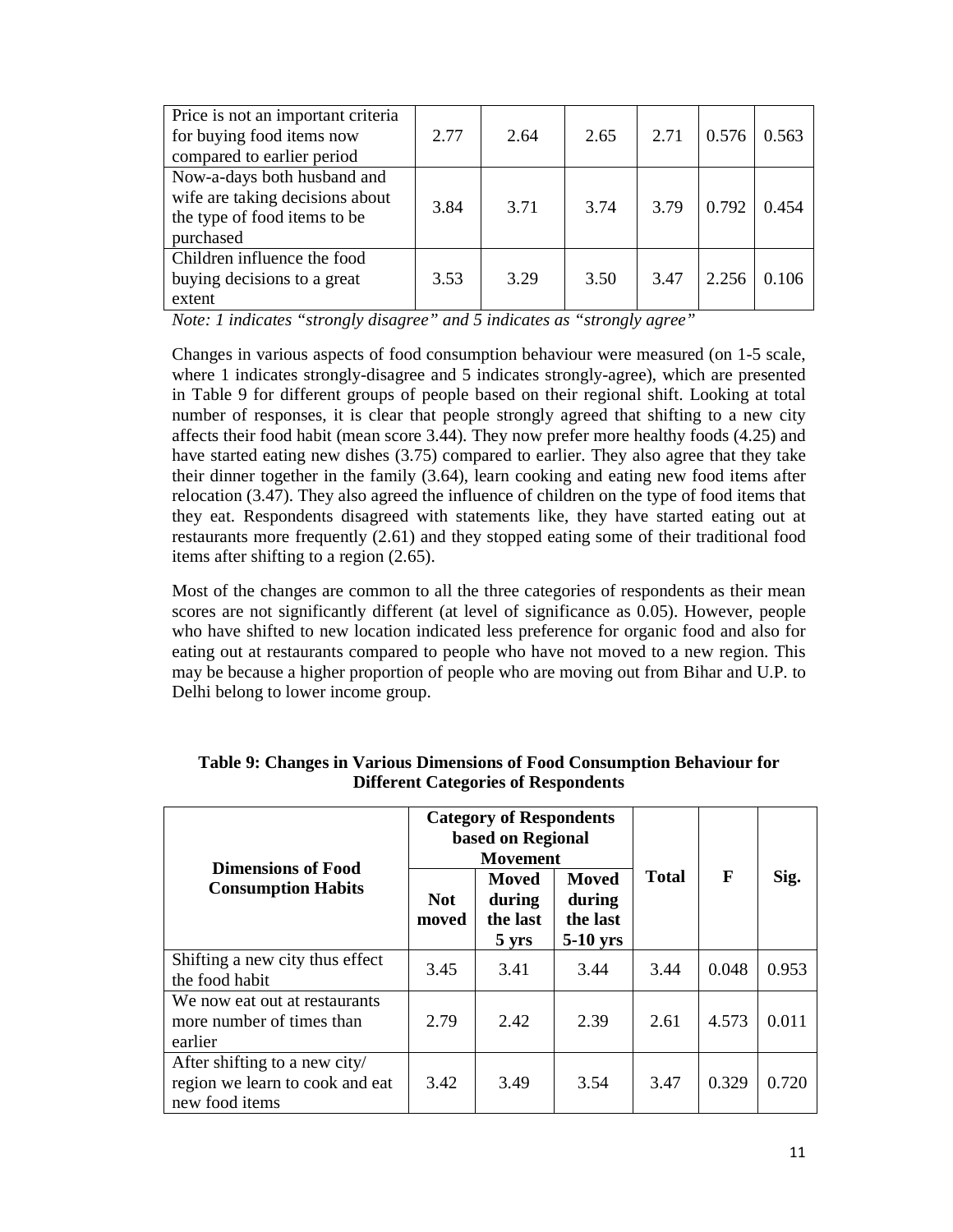| Price is not an important criteria<br>for buying food items now<br>compared to earlier period               | 2.77 | 2.64 | 2.65 | 2.71 | 0.576 | 0.563 |
|-------------------------------------------------------------------------------------------------------------|------|------|------|------|-------|-------|
| Now-a-days both husband and<br>wife are taking decisions about<br>the type of food items to be<br>purchased | 3.84 | 3.71 | 3.74 | 3.79 | 0.792 | 0.454 |
| Children influence the food<br>buying decisions to a great<br>extent                                        | 3.53 | 3.29 | 3.50 | 3.47 | 2.256 | 0.106 |

*Note: 1 indicates "strongly disagree" and 5 indicates as "strongly agree"* 

Changes in various aspects of food consumption behaviour were measured (on 1-5 scale, where 1 indicates strongly-disagree and 5 indicates strongly-agree), which are presented in Table 9 for different groups of people based on their regional shift. Looking at total number of responses, it is clear that people strongly agreed that shifting to a new city affects their food habit (mean score 3.44). They now prefer more healthy foods (4.25) and have started eating new dishes (3.75) compared to earlier. They also agree that they take their dinner together in the family (3.64), learn cooking and eating new food items after relocation (3.47). They also agreed the influence of children on the type of food items that they eat. Respondents disagreed with statements like, they have started eating out at restaurants more frequently (2.61) and they stopped eating some of their traditional food items after shifting to a region (2.65).

Most of the changes are common to all the three categories of respondents as their mean scores are not significantly different (at level of significance as 0.05). However, people who have shifted to new location indicated less preference for organic food and also for eating out at restaurants compared to people who have not moved to a new region. This may be because a higher proportion of people who are moving out from Bihar and U.P. to Delhi belong to lower income group.

| <b>Dimensions of Food</b>                                                          |                                                                         | <b>Category of Respondents</b><br>based on Regional<br><b>Movement</b> |                                                  |              |       |       |
|------------------------------------------------------------------------------------|-------------------------------------------------------------------------|------------------------------------------------------------------------|--------------------------------------------------|--------------|-------|-------|
| <b>Consumption Habits</b>                                                          | Moved<br><b>Not</b><br>during<br>the last<br>moved<br>$5 \, \text{yrs}$ |                                                                        | <b>Moved</b><br>during<br>the last<br>$5-10$ yrs | <b>Total</b> | F     | Sig.  |
| Shifting a new city thus effect<br>the food habit                                  | 3.45                                                                    | 3.41                                                                   | 3.44                                             | 3.44         | 0.048 | 0.953 |
| We now eat out at restaurants<br>more number of times than<br>earlier              | 2.79                                                                    | 2.42                                                                   | 2.39                                             | 2.61         | 4.573 | 0.011 |
| After shifting to a new city/<br>region we learn to cook and eat<br>new food items | 3.42                                                                    | 3.49                                                                   | 3.54                                             | 3.47         | 0.329 | 0.720 |

| Table 9: Changes in Various Dimensions of Food Consumption Behaviour for |
|--------------------------------------------------------------------------|
| <b>Different Categories of Respondents</b>                               |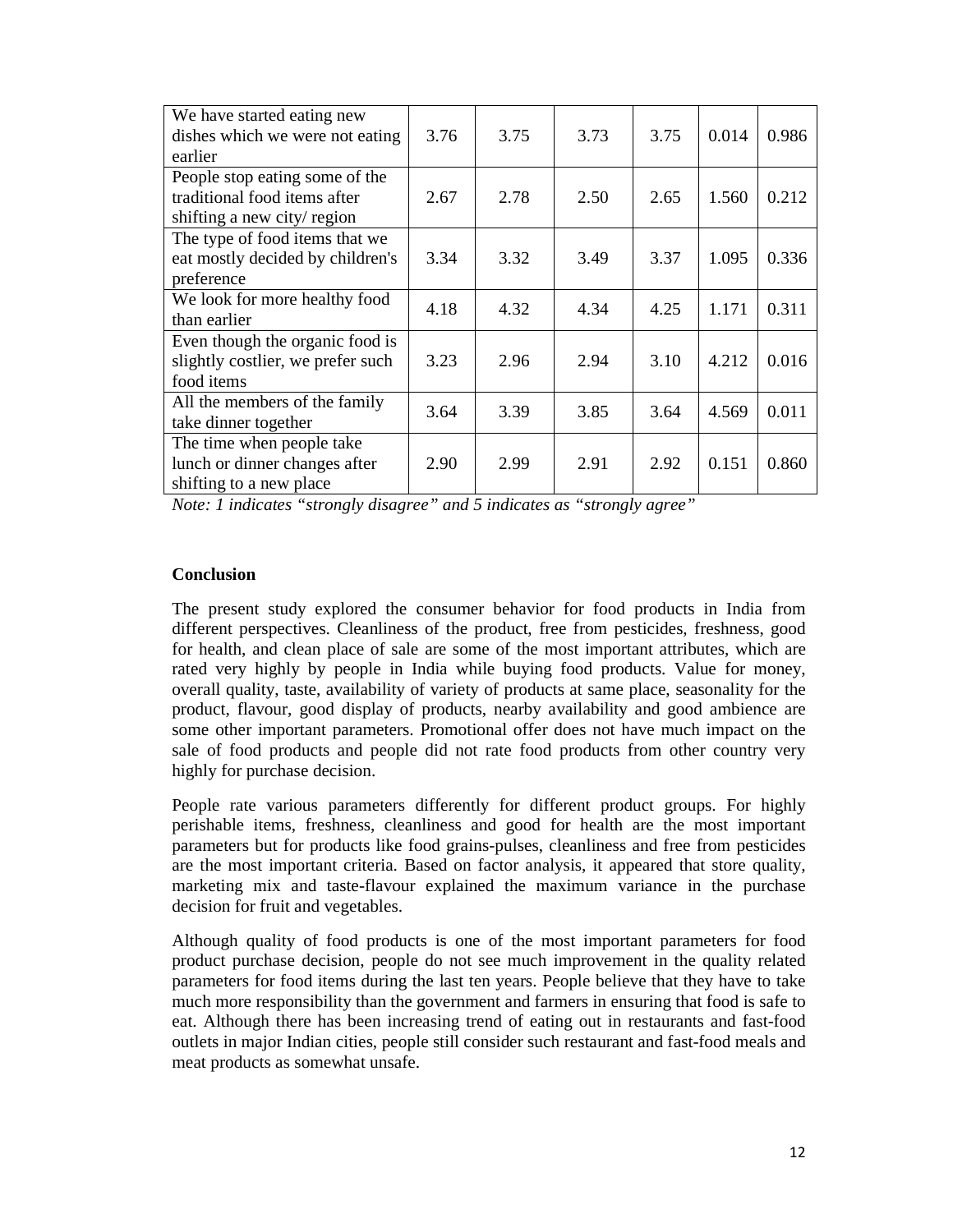| We have started eating new        |      |      |      |      |       |       |
|-----------------------------------|------|------|------|------|-------|-------|
| dishes which we were not eating   | 3.76 | 3.75 | 3.73 | 3.75 | 0.014 | 0.986 |
| earlier                           |      |      |      |      |       |       |
| People stop eating some of the    |      |      |      |      |       |       |
| traditional food items after      | 2.67 | 2.78 | 2.50 | 2.65 | 1.560 | 0.212 |
| shifting a new city/region        |      |      |      |      |       |       |
| The type of food items that we    |      |      |      |      |       |       |
| eat mostly decided by children's  | 3.34 | 3.32 | 3.49 | 3.37 | 1.095 | 0.336 |
| preference                        |      |      |      |      |       |       |
| We look for more healthy food     | 4.18 | 4.32 | 4.34 | 4.25 | 1.171 | 0.311 |
| than earlier                      |      |      |      |      |       |       |
| Even though the organic food is   |      |      |      |      |       |       |
| slightly costlier, we prefer such | 3.23 | 2.96 | 2.94 | 3.10 | 4.212 | 0.016 |
| food items                        |      |      |      |      |       |       |
| All the members of the family     | 3.64 | 3.39 | 3.85 | 3.64 | 4.569 | 0.011 |
| take dinner together              |      |      |      |      |       |       |
| The time when people take         |      |      |      |      |       |       |
| lunch or dinner changes after     | 2.90 | 2.99 | 2.91 | 2.92 | 0.151 | 0.860 |
| shifting to a new place           |      |      |      |      |       |       |

*Note: 1 indicates "strongly disagree" and 5 indicates as "strongly agree"* 

### **Conclusion**

The present study explored the consumer behavior for food products in India from different perspectives. Cleanliness of the product, free from pesticides, freshness, good for health, and clean place of sale are some of the most important attributes, which are rated very highly by people in India while buying food products. Value for money, overall quality, taste, availability of variety of products at same place, seasonality for the product, flavour, good display of products, nearby availability and good ambience are some other important parameters. Promotional offer does not have much impact on the sale of food products and people did not rate food products from other country very highly for purchase decision.

People rate various parameters differently for different product groups. For highly perishable items, freshness, cleanliness and good for health are the most important parameters but for products like food grains-pulses, cleanliness and free from pesticides are the most important criteria. Based on factor analysis, it appeared that store quality, marketing mix and taste-flavour explained the maximum variance in the purchase decision for fruit and vegetables.

Although quality of food products is one of the most important parameters for food product purchase decision, people do not see much improvement in the quality related parameters for food items during the last ten years. People believe that they have to take much more responsibility than the government and farmers in ensuring that food is safe to eat. Although there has been increasing trend of eating out in restaurants and fast-food outlets in major Indian cities, people still consider such restaurant and fast-food meals and meat products as somewhat unsafe.